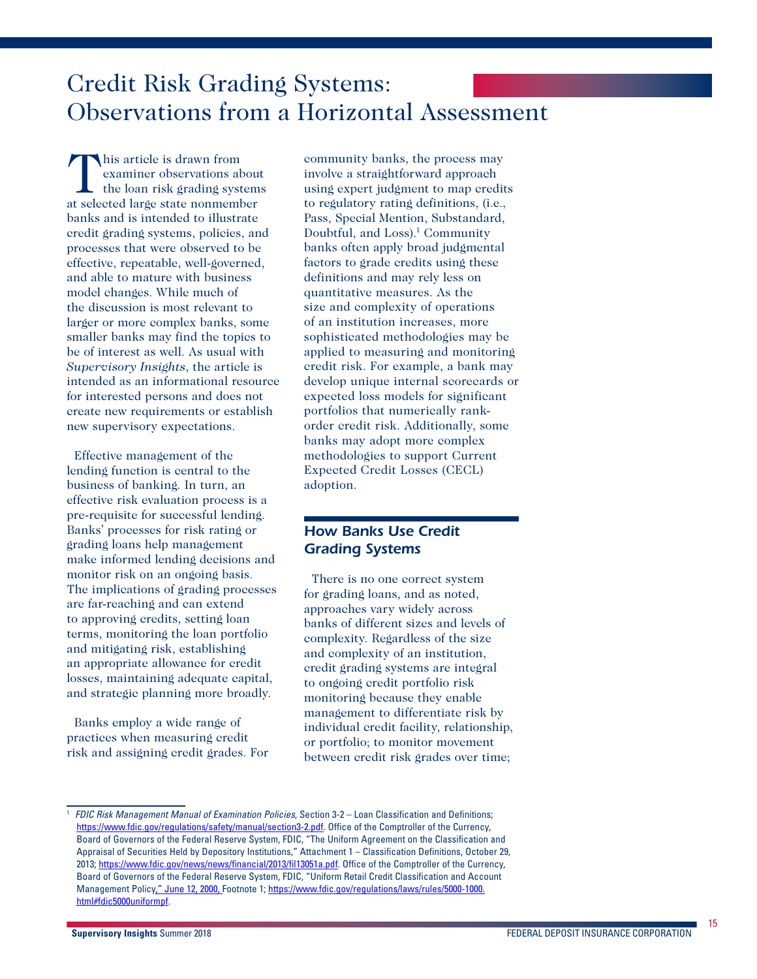# Credit Risk Grading Systems: Observations from a Horizontal Assessment

This article is drawn from<br>
examiner observations at<br>
the loan risk grading syst examiner observations about the loan risk grading systems at selected large state nonmember banks and is intended to illustrate credit grading systems, policies, and processes that were observed to be effective, repeatable, well-governed, and able to mature with business model changes. While much of the discussion is most relevant to larger or more complex banks, some smaller banks may find the topics to be of interest as well. As usual with *Supervisory Insights*, the article is intended as an informational resource for interested persons and does not create new requirements or establish new supervisory expectations.

Effective management of the lending function is central to the business of banking. In turn, an effective risk evaluation process is a pre-requisite for successful lending. Banks' processes for risk rating or grading loans help management make informed lending decisions and monitor risk on an ongoing basis. The implications of grading processes are far-reaching and can extend to approving credits, setting loan terms, monitoring the loan portfolio and mitigating risk, establishing an appropriate allowance for credit losses, maintaining adequate capital, and strategic planning more broadly.

Banks employ a wide range of practices when measuring credit risk and assigning credit grades. For

community banks, the process may involve a straightforward approach using expert judgment to map credits to regulatory rating definitions, (i.e., Pass, Special Mention, Substandard, Doubtful, and Loss).<sup>1</sup> Community banks often apply broad judgmental factors to grade credits using these definitions and may rely less on quantitative measures. As the size and complexity of operations of an institution increases, more sophisticated methodologies may be applied to measuring and monitoring credit risk. For example, a bank may develop unique internal scorecards or expected loss models for significant portfolios that numerically rankorder credit risk. Additionally, some banks may adopt more complex methodologies to support Current Expected Credit Losses (CECL) adoption.

## *How Banks Use Credit Grading Systems*

There is no one correct system for grading loans, and as noted. approaches vary widely across banks of different sizes and levels of complexity. Regardless of the size and complexity of an institution, credit grading systems are integral to ongoing credit portfolio risk monitoring because they enable management to differentiate risk by individual credit facility, relationship, or portfolio; to monitor movement between credit risk grades over time;

<sup>1</sup> *FDIC Risk Management Manual of Examination Policies*, Section 3-2 – Loan Classification and Definitions; [https://www.fdic.gov/regulations/safety/manual/section3-2.pdf.](https://www.fdic.gov/regulations/safety/manual/section3-2.pdf) Office of the Comptroller of the Currency, Board of Governors of the Federal Reserve System, FDIC, "The Uniform Agreement on the Classification and Appraisal of Securities Held by Depository Institutions," Attachment 1 – Classification Definitions, October 29, 2013; <https://www.fdic.gov/news/news/financial/2013/fil13051a.pdf>. Office of the Comptroller of the Currency, Board of Governors of the Federal Reserve System, FDIC, "Uniform Retail Credit Classification and Account Management Policy," June 12, 2000, Footnote 1; [https://www.fdic.gov/regulations/laws/rules/5000-1000.](https://www.fdic.gov/regulations/laws/rules/5000-1000.html#fdic5000uniformpf) [html#fdic5000uniformpf](https://www.fdic.gov/regulations/laws/rules/5000-1000.html#fdic5000uniformpf).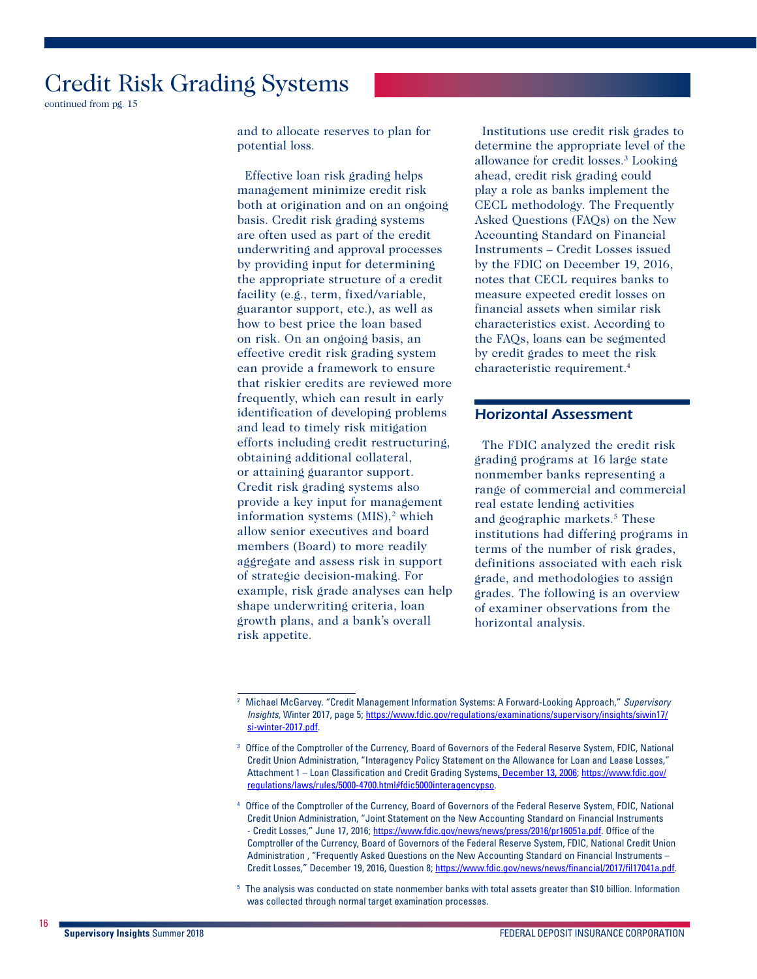continued from pg. 15

and to allocate reserves to plan for potential loss.

Effective loan risk grading helps management minimize credit risk both at origination and on an ongoing basis. Credit risk grading systems are often used as part of the credit underwriting and approval processes by providing input for determining the appropriate structure of a credit facility (e.g., term, fixed/variable, guarantor support, etc.), as well as how to best price the loan based on risk. On an ongoing basis, an effective credit risk grading system can provide a framework to ensure that riskier credits are reviewed more frequently, which can result in early identification of developing problems and lead to timely risk mitigation efforts including credit restructuring, obtaining additional collateral, or attaining guarantor support. Credit risk grading systems also provide a key input for management information systems (MIS),<sup>2</sup> which allow senior executives and board members (Board) to more readily aggregate and assess risk in support of strategic decision-making. For example, risk grade analyses can help shape underwriting criteria, loan growth plans, and a bank's overall risk appetite.

Institutions use credit risk grades to determine the appropriate level of the allowance for credit losses.<sup>3</sup> Looking ahead, credit risk grading could play a role as banks implement the CECL methodology. The Frequently Asked Questions (FAQs) on the New Accounting Standard on Financial Instruments – Credit Losses issued by the FDIC on December 19, 2016, notes that CECL requires banks to measure expected credit losses on financial assets when similar risk characteristics exist. According to the FAQs, loans can be segmented by credit grades to meet the risk characteristic requirement.4

#### *Horizontal Assessment*

The FDIC analyzed the credit risk grading programs at 16 large state nonmember banks representing a range of commercial and commercial real estate lending activities and geographic markets.5 These institutions had differing programs in terms of the number of risk grades, definitions associated with each risk grade, and methodologies to assign grades. The following is an overview of examiner observations from the horizontal analysis.

<sup>5</sup> The analysis was conducted on state nonmember banks with total assets greater than \$10 billion. Information was collected through normal target examination processes.

<sup>2</sup> Michael McGarvey. "Credit Management Information Systems: A Forward-Looking Approach," *Supervisory Insights*, Winter 2017, page 5; [https://www.fdic.gov/regulations/examinations/supervisory/insights/siwin17/](https://www.fdic.gov/regulations/examinations/supervisory/insights/siwin17/si-winter-2017.pdf) [si-winter-2017.pdf](https://www.fdic.gov/regulations/examinations/supervisory/insights/siwin17/si-winter-2017.pdf).

Office of the Comptroller of the Currency, Board of Governors of the Federal Reserve System, FDIC, National Credit Union Administration, "Interagency Policy Statement on the Allowance for Loan and Lease Losses," Attachment 1 – Loan Classification and Credit Grading Systems, December 13, 2006; [https://www.fdic.gov/](https://www.fdic.gov/regulations/laws/rules/5000-4700.html#fdic5000interagencypso) [regulations/laws/rules/5000-4700.html#fdic5000interagencypso.](https://www.fdic.gov/regulations/laws/rules/5000-4700.html#fdic5000interagencypso)

<sup>4</sup> Office of the Comptroller of the Currency, Board of Governors of the Federal Reserve System, FDIC, National Credit Union Administration, "Joint Statement on the New Accounting Standard on Financial Instruments - Credit Losses," June 17, 2016; <https://www.fdic.gov/news/news/press/2016/pr16051a.pdf>. Office of the Comptroller of the Currency, Board of Governors of the Federal Reserve System, FDIC, National Credit Union Administration , "Frequently Asked Questions on the New Accounting Standard on Financial Instruments – Credit Losses," December 19, 2016, Question 8; [https://www.fdic.gov/news/news/financial/2017/fil17041a.pdf.](https://www.fdic.gov/news/news/financial/2017/fil17041a.pdf)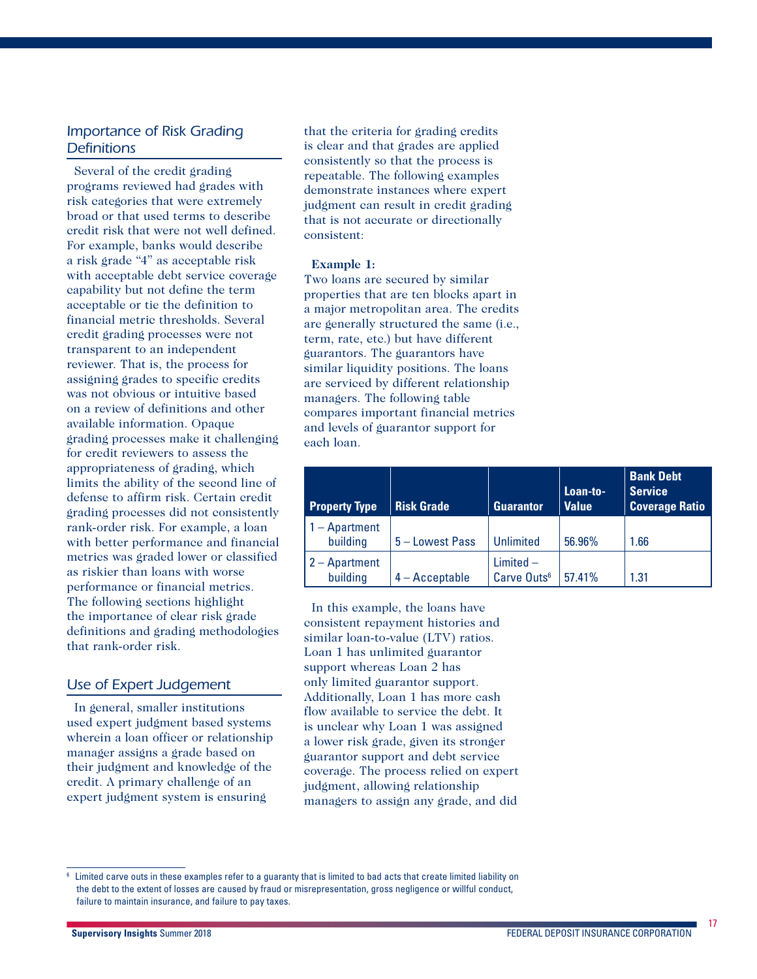### *Importance of Risk Grading Definitions*

Several of the credit grading programs reviewed had grades with risk categories that were extremely broad or that used terms to describe credit risk that were not well defined. For example, banks would describe a risk grade "4" as acceptable risk with acceptable debt service coverage capability but not define the term acceptable or tie the definition to financial metric thresholds. Several credit grading processes were not transparent to an independent reviewer. That is, the process for assigning grades to specific credits was not obvious or intuitive based on a review of definitions and other available information. Opaque grading processes make it challenging for credit reviewers to assess the appropriateness of grading, which limits the ability of the second line of defense to affirm risk. Certain credit grading processes did not consistently rank-order risk. For example, a loan with better performance and financial metrics was graded lower or classified as riskier than loans with worse performance or financial metrics. The following sections highlight the importance of clear risk grade definitions and grading methodologies that rank-order risk.

### *Use of Expert Judgement*

In general, smaller institutions used expert judgment based systems wherein a loan officer or relationship manager assigns a grade based on their judgment and knowledge of the credit. A primary challenge of an expert judgment system is ensuring

that the criteria for grading credits is clear and that grades are applied consistently so that the process is repeatable. The following examples demonstrate instances where expert judgment can result in credit grading that is not accurate or directionally consistent:

#### **Example 1:**

Two loans are secured by similar properties that are ten blocks apart in a major metropolitan area. The credits are generally structured the same (i.e., term, rate, etc.) but have different guarantors. The guarantors have similar liquidity positions. The loans are serviced by different relationship managers. The following table compares important financial metrics and levels of guarantor support for each loan.

| <b>Property Type</b>        | <b>Risk Grade</b> | <b>Guarantor</b>                       | Loan-to-<br><b>Value</b> | <b>Bank Debt</b><br><b>Service</b><br><b>Coverage Ratio</b> |
|-----------------------------|-------------------|----------------------------------------|--------------------------|-------------------------------------------------------------|
| $-$ Apartment<br>building   | 5 - Lowest Pass   | <b>Unlimited</b>                       | 56.96%                   | 1.66                                                        |
| $2 -$ Apartment<br>building | $4 -$ Acceptable  | $Limited -$<br>Carve Outs <sup>6</sup> | 57.41%                   | 1.31                                                        |

In this example, the loans have consistent repayment histories and similar loan-to-value (LTV) ratios. Loan 1 has unlimited guarantor support whereas Loan 2 has only limited guarantor support. Additionally, Loan 1 has more cash flow available to service the debt. It is unclear why Loan 1 was assigned a lower risk grade, given its stronger guarantor support and debt service coverage. The process relied on expert judgment, allowing relationship managers to assign any grade, and did

Limited carve outs in these examples refer to a guaranty that is limited to bad acts that create limited liability on the debt to the extent of losses are caused by fraud or misrepresentation, gross negligence or willful conduct, failure to maintain insurance, and failure to pay taxes.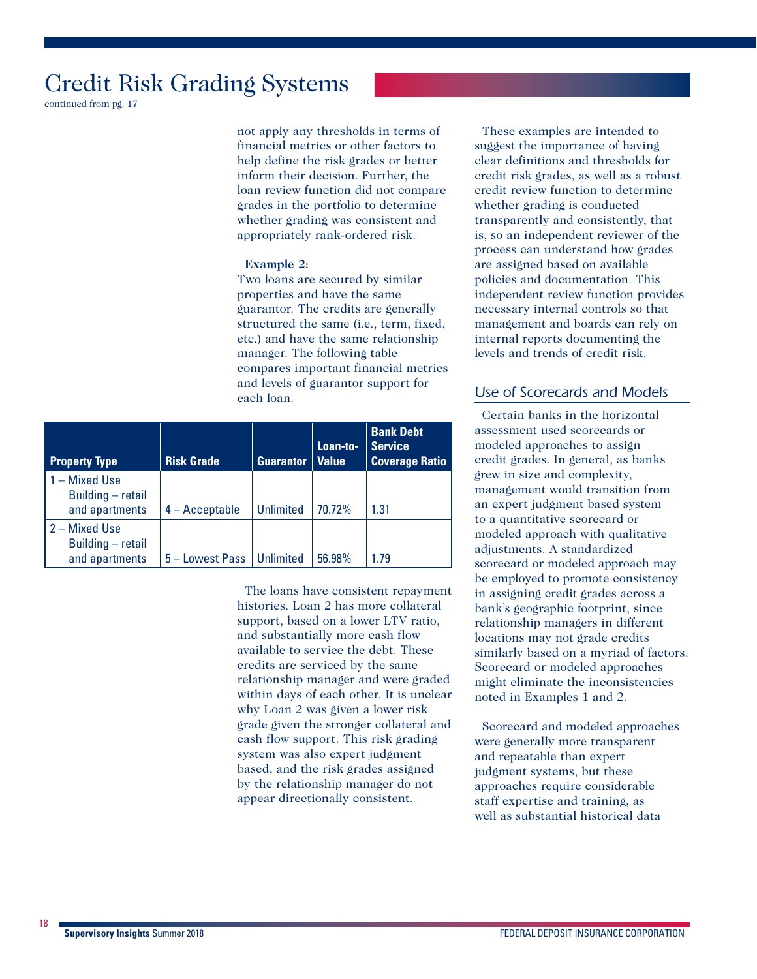continued from pg. 17

not apply any thresholds in terms of financial metrics or other factors to help define the risk grades or better inform their decision. Further, the loan review function did not compare grades in the portfolio to determine whether grading was consistent and appropriately rank-ordered risk.

#### **Example 2:**

Two loans are secured by similar properties and have the same guarantor. The credits are generally structured the same (i.e., term, fixed, etc.) and have the same relationship manager. The following table compares important financial metrics and levels of guarantor support for each loan.

| <b>Property Type</b>                                 | <b>Risk Grade</b> | <b>Guarantor</b> | Loan-to-<br>  Value | <b>Bank Debt</b><br><b>Service</b><br><b>Coverage Ratio</b> |
|------------------------------------------------------|-------------------|------------------|---------------------|-------------------------------------------------------------|
| 1 – Mixed Use<br>Building - retail<br>and apartments | $4 -$ Acceptable  | <b>Unlimited</b> | 70.72%              | 1.31                                                        |
| 2 – Mixed Use<br>Building - retail<br>and apartments | 5 - Lowest Pass   | Unlimited        | 56.98%              | 1.79                                                        |

The loans have consistent repayment histories. Loan 2 has more collateral support, based on a lower LTV ratio, and substantially more cash flow available to service the debt. These credits are serviced by the same relationship manager and were graded within days of each other. It is unclear why Loan 2 was given a lower risk grade given the stronger collateral and cash flow support. This risk grading system was also expert judgment based, and the risk grades assigned by the relationship manager do not appear directionally consistent.

These examples are intended to suggest the importance of having clear definitions and thresholds for credit risk grades, as well as a robust credit review function to determine whether grading is conducted transparently and consistently, that is, so an independent reviewer of the process can understand how grades are assigned based on available policies and documentation. This independent review function provides necessary internal controls so that management and boards can rely on internal reports documenting the levels and trends of credit risk.

### *Use of Scorecards and Models*

Certain banks in the horizontal assessment used scorecards or modeled approaches to assign credit grades. In general, as banks grew in size and complexity, management would transition from an expert judgment based system to a quantitative scorecard or modeled approach with qualitative adjustments. A standardized scorecard or modeled approach may be employed to promote consistency in assigning credit grades across a bank's geographic footprint, since relationship managers in different locations may not grade credits similarly based on a myriad of factors. Scorecard or modeled approaches might eliminate the inconsistencies noted in Examples 1 and 2.

Scorecard and modeled approaches were generally more transparent and repeatable than expert judgment systems, but these approaches require considerable staff expertise and training, as well as substantial historical data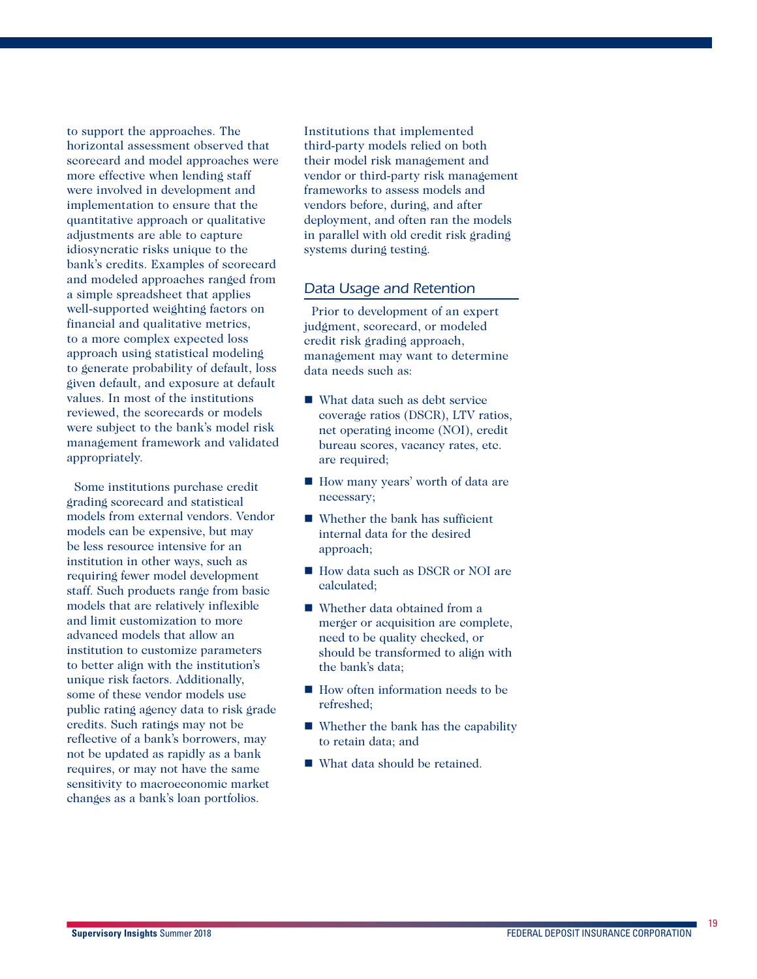to support the approaches. The horizontal assessment observed that scorecard and model approaches were more effective when lending staff were involved in development and implementation to ensure that the quantitative approach or qualitative adjustments are able to capture idiosyncratic risks unique to the bank's credits. Examples of scorecard and modeled approaches ranged from a simple spreadsheet that applies well-supported weighting factors on financial and qualitative metrics, to a more complex expected loss approach using statistical modeling to generate probability of default, loss given default, and exposure at default values. In most of the institutions reviewed, the scorecards or models were subject to the bank's model risk management framework and validated appropriately.

Some institutions purchase credit grading scorecard and statistical models from external vendors. Vendor models can be expensive, but may be less resource intensive for an institution in other ways, such as requiring fewer model development staff. Such products range from basic models that are relatively inflexible and limit customization to more advanced models that allow an institution to customize parameters to better align with the institution's unique risk factors. Additionally, some of these vendor models use public rating agency data to risk grade credits. Such ratings may not be reflective of a bank's borrowers, may not be updated as rapidly as a bank requires, or may not have the same sensitivity to macroeconomic market changes as a bank's loan portfolios.

Institutions that implemented third-party models relied on both their model risk management and vendor or third-party risk management frameworks to assess models and vendors before, during, and after deployment, and often ran the models in parallel with old credit risk grading systems during testing.

#### *Data Usage and Retention*

Prior to development of an expert judgment, scorecard, or modeled credit risk grading approach, management may want to determine data needs such as:

- What data such as debt service coverage ratios (DSCR), LTV ratios, net operating income (NOI), credit bureau scores, vacancy rates, etc. are required;
- How many years' worth of data are necessary;
- $\blacksquare$  Whether the bank has sufficient internal data for the desired approach;
- How data such as DSCR or NOI are calculated;
- Whether data obtained from a merger or acquisition are complete, need to be quality checked, or should be transformed to align with the bank's data;
- How often information needs to be refreshed;
- Whether the bank has the capability to retain data; and
- What data should be retained.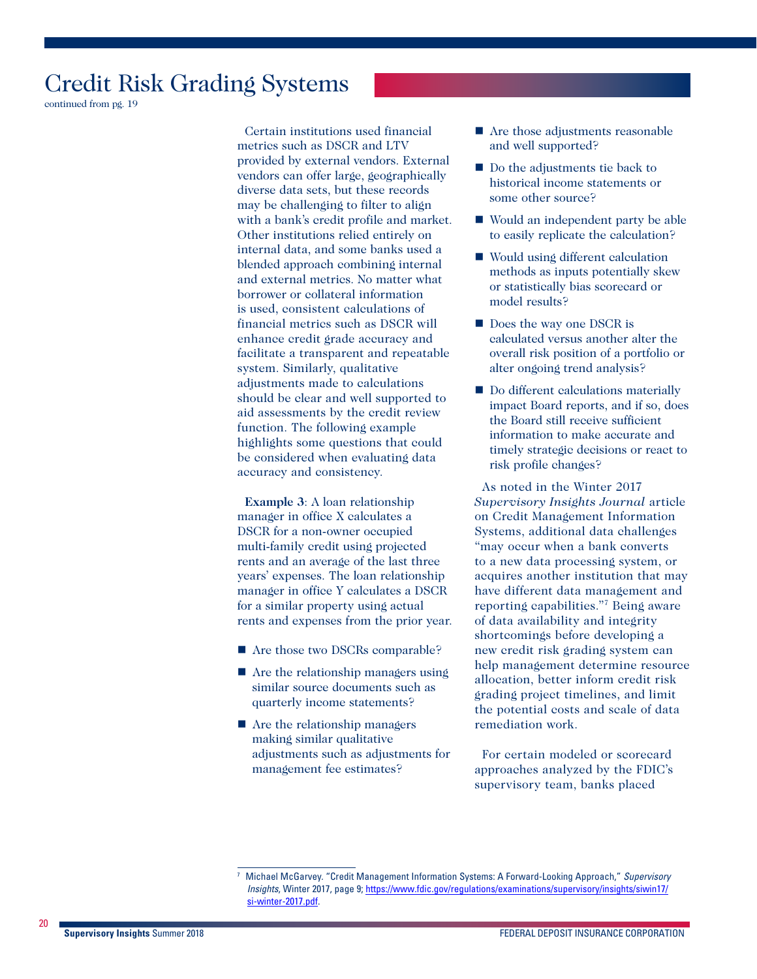continued from pg. 19

Certain institutions used financial metrics such as DSCR and LTV provided by external vendors. External vendors can offer large, geographically diverse data sets, but these records may be challenging to filter to align with a bank's credit profile and market. Other institutions relied entirely on internal data, and some banks used a blended approach combining internal and external metrics. No matter what borrower or collateral information is used, consistent calculations of financial metrics such as DSCR will enhance credit grade accuracy and facilitate a transparent and repeatable system. Similarly, qualitative adjustments made to calculations should be clear and well supported to aid assessments by the credit review function. The following example highlights some questions that could be considered when evaluating data accuracy and consistency.

**Example 3**: A loan relationship manager in office X calculates a DSCR for a non-owner occupied multi-family credit using projected rents and an average of the last three years' expenses. The loan relationship manager in office Y calculates a DSCR for a similar property using actual rents and expenses from the prior year.

- Are those two DSCRs comparable?
- Are the relationship managers using similar source documents such as quarterly income statements?
- Are the relationship managers making similar qualitative adjustments such as adjustments for management fee estimates?
- **Are those adjustments reasonable** and well supported?
- Do the adjustments tie back to historical income statements or some other source?
- Would an independent party be able to easily replicate the calculation?
- Would using different calculation methods as inputs potentially skew or statistically bias scorecard or model results?
- Does the way one DSCR is calculated versus another alter the overall risk position of a portfolio or alter ongoing trend analysis?
- Do different calculations materially impact Board reports, and if so, does the Board still receive sufficient information to make accurate and timely strategic decisions or react to risk profile changes?

As noted in the Winter 2017 *Supervisory Insights Journal* article on Credit Management Information Systems, additional data challenges "may occur when a bank converts to a new data processing system, or acquires another institution that may have different data management and reporting capabilities."7 Being aware of data availability and integrity shortcomings before developing a new credit risk grading system can help management determine resource allocation, better inform credit risk grading project timelines, and limit the potential costs and scale of data remediation work.

For certain modeled or scorecard approaches analyzed by the FDIC's supervisory team, banks placed

<sup>7</sup> Michael McGarvey. "Credit Management Information Systems: A Forward-Looking Approach," *Supervisory Insights*, Winter 2017, page 9; [https://www.fdic.gov/regulations/examinations/supervisory/insights/siwin17/](https://www.fdic.gov/regulations/examinations/supervisory/insights/siwin17/si-winter-2017.pdf) [si-winter-2017.pdf](https://www.fdic.gov/regulations/examinations/supervisory/insights/siwin17/si-winter-2017.pdf).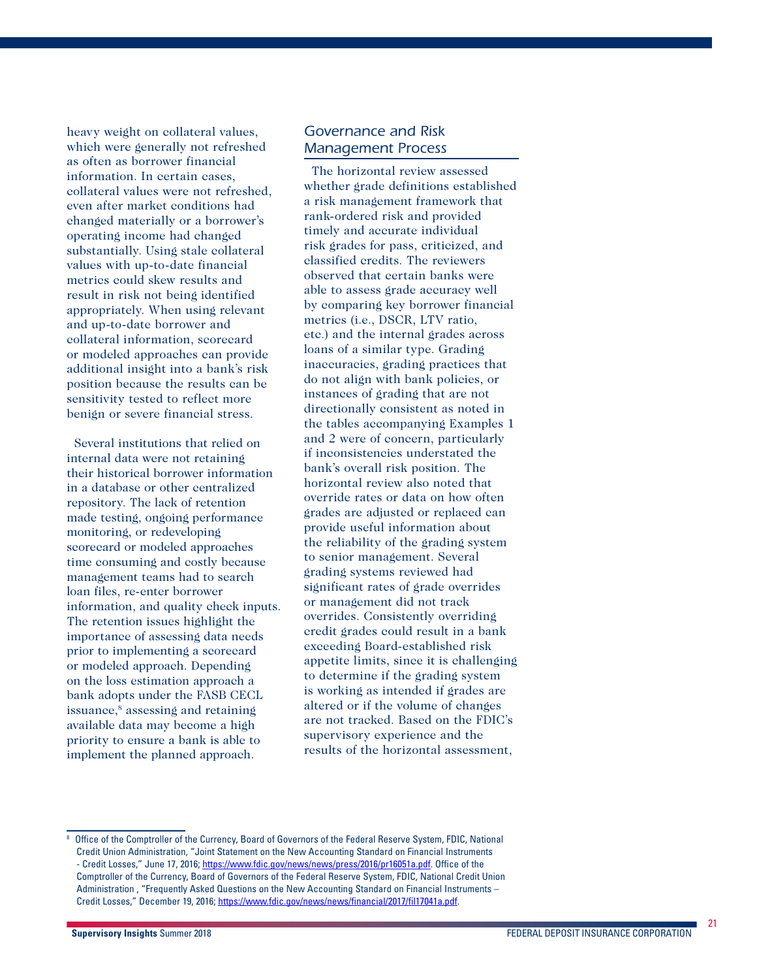heavy weight on collateral values, which were generally not refreshed as often as borrower financial information. In certain cases, collateral values were not refreshed, even after market conditions had changed materially or a borrower's operating income had changed substantially. Using stale collateral values with up-to-date financial metrics could skew results and result in risk not being identified appropriately. When using relevant and up-to-date borrower and collateral information, scorecard or modeled approaches can provide additional insight into a bank's risk position because the results can be sensitivity tested to reflect more benign or severe financial stress.

Several institutions that relied on internal data were not retaining their historical borrower information in a database or other centralized repository. The lack of retention made testing, ongoing performance monitoring, or redeveloping scorecard or modeled approaches time consuming and costly because management teams had to search loan files, re-enter borrower information, and quality check inputs. The retention issues highlight the importance of assessing data needs prior to implementing a scorecard or modeled approach. Depending on the loss estimation approach a bank adopts under the FASB CECL issuance,<sup>8</sup> assessing and retaining available data may become a high priority to ensure a bank is able to implement the planned approach.

### *Governance and Risk Management Process*

The horizontal review assessed whether grade definitions established a risk management framework that rank-ordered risk and provided timely and accurate individual risk grades for pass, criticized, and classified credits. The reviewers observed that certain banks were able to assess grade accuracy well by comparing key borrower financial metrics (i.e., DSCR, LTV ratio, etc.) and the internal grades across loans of a similar type. Grading inaccuracies, grading practices that do not align with bank policies, or instances of grading that are not directionally consistent as noted in the tables accompanying Examples 1 and 2 were of concern, particularly if inconsistencies understated the bank's overall risk position. The horizontal review also noted that override rates or data on how often grades are adjusted or replaced can provide useful information about the reliability of the grading system to senior management. Several grading systems reviewed had significant rates of grade overrides or management did not track overrides. Consistently overriding credit grades could result in a bank exceeding Board-established risk appetite limits, since it is challenging to determine if the grading system is working as intended if grades are altered or if the volume of changes are not tracked. Based on the FDIC's supervisory experience and the results of the horizontal assessment,

<sup>8</sup> Office of the Comptroller of the Currency, Board of Governors of the Federal Reserve System, FDIC, National Credit Union Administration, "Joint Statement on the New Accounting Standard on Financial Instruments - Credit Losses," June 17, 2016; <https://www.fdic.gov/news/news/press/2016/pr16051a.pdf>. Office of the Comptroller of the Currency, Board of Governors of the Federal Reserve System, FDIC, National Credit Union Administration , "Frequently Asked Questions on the New Accounting Standard on Financial Instruments – Credit Losses," December 19, 2016; <https://www.fdic.gov/news/news/financial/2017/fil17041a.pdf>.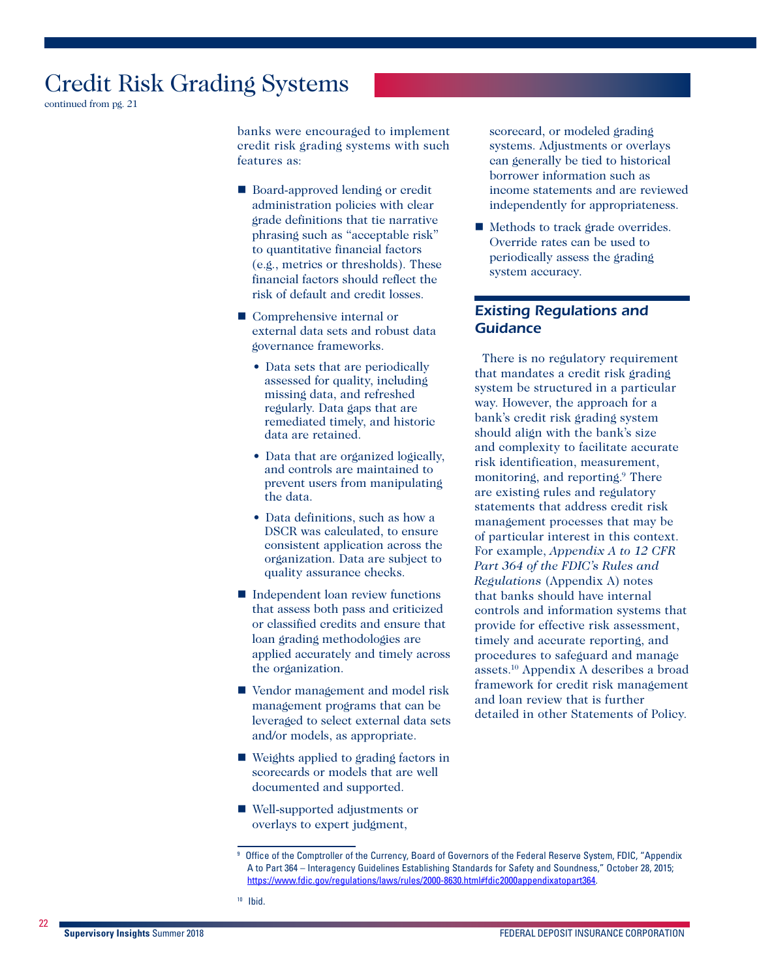continued from pg. 21

banks were encouraged to implement credit risk grading systems with such features as:

- Board-approved lending or credit administration policies with clear grade definitions that tie narrative phrasing such as "acceptable risk" to quantitative financial factors (e.g., metrics or thresholds). These financial factors should reflect the risk of default and credit losses.
- Comprehensive internal or external data sets and robust data governance frameworks.
	- Data sets that are periodically assessed for quality, including missing data, and refreshed regularly. Data gaps that are remediated timely, and historic data are retained.
	- Data that are organized logically, and controls are maintained to prevent users from manipulating the data.
	- Data definitions, such as how a DSCR was calculated, to ensure consistent application across the organization. Data are subject to quality assurance checks.
- Independent loan review functions that assess both pass and criticized or classified credits and ensure that loan grading methodologies are applied accurately and timely across the organization.
- Vendor management and model risk management programs that can be leveraged to select external data sets and/or models, as appropriate.
- Weights applied to grading factors in scorecards or models that are well documented and supported.
- Well-supported adjustments or overlays to expert judgment,

scorecard, or modeled grading systems. Adjustments or overlays can generally be tied to historical borrower information such as income statements and are reviewed independently for appropriateness.

■ Methods to track grade overrides. Override rates can be used to periodically assess the grading system accuracy.

### *Existing Regulations and Guidance*

There is no regulatory requirement that mandates a credit risk grading system be structured in a particular way. However, the approach for a bank's credit risk grading system should align with the bank's size and complexity to facilitate accurate risk identification, measurement, monitoring, and reporting.<sup>9</sup> There are existing rules and regulatory statements that address credit risk management processes that may be of particular interest in this context. For example, *Appendix A to 12 CFR Part 364 of the FDIC's Rules and Regulations* (Appendix A) notes that banks should have internal controls and information systems that provide for effective risk assessment, timely and accurate reporting, and procedures to safeguard and manage assets.10 Appendix A describes a broad framework for credit risk management and loan review that is further detailed in other Statements of Policy.

<sup>9</sup> Office of the Comptroller of the Currency, Board of Governors of the Federal Reserve System, FDIC, "Appendix A to Part 364 – Interagency Guidelines Establishing Standards for Safety and Soundness," October 28, 2015; [https://www.fdic.gov/regulations/laws/rules/2000-8630.html#fdic2000appendixatopart364.](https://www.fdic.gov/regulations/laws/rules/2000-8630.html#fdic2000appendixatopart364)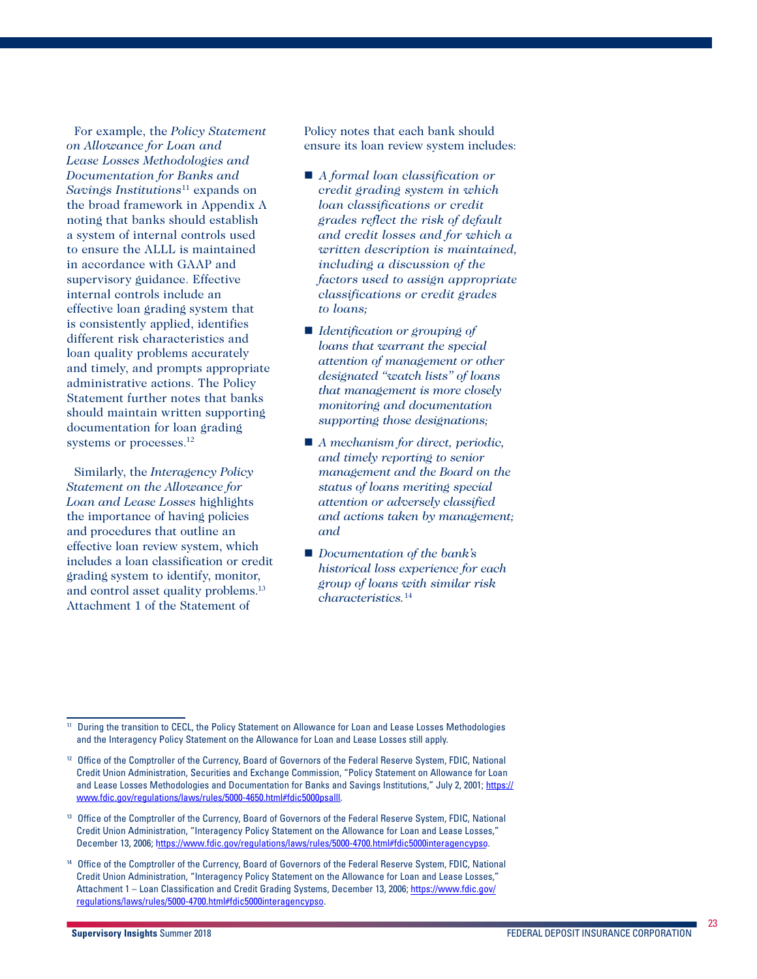For example, the *Policy Statement on Allowance for Loan and Lease Losses Methodologies and Documentation for Banks and Savings Institutions*11 expands on the broad framework in Appendix A noting that banks should establish a system of internal controls used to ensure the ALLL is maintained in accordance with GAAP and supervisory guidance. Effective internal controls include an effective loan grading system that is consistently applied, identifies different risk characteristics and loan quality problems accurately and timely, and prompts appropriate administrative actions. The Policy Statement further notes that banks should maintain written supporting documentation for loan grading systems or processes.<sup>12</sup>

Similarly, the *Interagency Policy Statement on the Allowance for Loan and Lease Losses* highlights the importance of having policies and procedures that outline an effective loan review system, which includes a loan classification or credit grading system to identify, monitor, and control asset quality problems.13 Attachment 1 of the Statement of

Policy notes that each bank should ensure its loan review system includes:

- *A formal loan classification or credit grading system in which loan classifications or credit grades reflect the risk of default and credit losses and for which a written description is maintained, including a discussion of the factors used to assign appropriate classifications or credit grades to loans;*
- *Identification or grouping of loans that warrant the special attention of management or other designated "watch lists" of loans that management is more closely monitoring and documentation supporting those designations;*
- *A mechanism for direct, periodic, and timely reporting to senior management and the Board on the status of loans meriting special attention or adversely classified and actions taken by management; and*
- *Documentation of the bank's historical loss experience for each group of loans with similar risk characteristics.*<sup>14</sup>

During the transition to CECL, the Policy Statement on Allowance for Loan and Lease Losses Methodologies and the Interagency Policy Statement on the Allowance for Loan and Lease Losses still apply.

<sup>&</sup>lt;sup>12</sup> Office of the Comptroller of the Currency, Board of Governors of the Federal Reserve System, FDIC, National Credit Union Administration, Securities and Exchange Commission, "Policy Statement on Allowance for Loan and Lease Losses Methodologies and Documentation for Banks and Savings Institutions," July 2, 2001; [https://](https://www.fdic.gov/regulations/laws/rules/5000-4650.html#fdic5000psalll) [www.fdic.gov/regulations/laws/rules/5000-4650.html#fdic5000psalll](https://www.fdic.gov/regulations/laws/rules/5000-4650.html#fdic5000psalll).

<sup>&</sup>lt;sup>13</sup> Office of the Comptroller of the Currency, Board of Governors of the Federal Reserve System, FDIC, National Credit Union Administration, "Interagency Policy Statement on the Allowance for Loan and Lease Losses," December 13, 2006; [https://www.fdic.gov/regulations/laws/rules/5000-4700.html#fdic5000interagencypso.](https://www.fdic.gov/regulations/laws/rules/5000-4700.html#fdic5000interagencypso)

<sup>14</sup> Office of the Comptroller of the Currency, Board of Governors of the Federal Reserve System, FDIC, National Credit Union Administration, "Interagency Policy Statement on the Allowance for Loan and Lease Losses," Attachment 1 – Loan Classification and Credit Grading Systems, December 13, 2006; [https://www.fdic.gov/](https://www.fdic.gov/regulations/laws/rules/5000-4700.html#fdic5000interagencypso) [regulations/laws/rules/5000-4700.html#fdic5000interagencypso.](https://www.fdic.gov/regulations/laws/rules/5000-4700.html#fdic5000interagencypso)